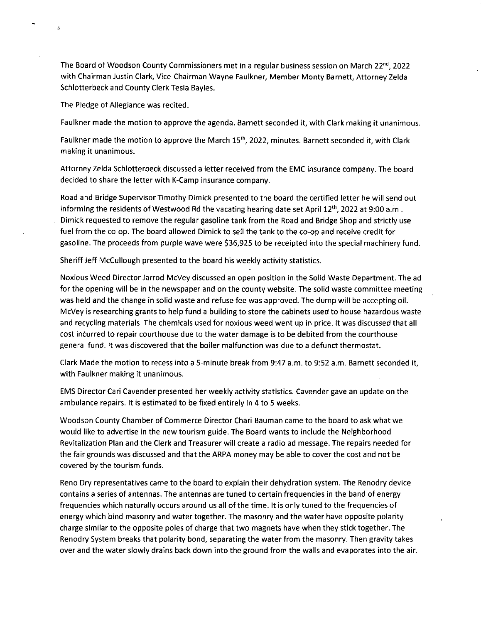The Board of Woodson County Commissioners met in a regular business session on March 22<sup>nd</sup>, 2022 with Chairman Justin Clark, Vice-Chairman Wayne Faulkner, Member Monty Barnett, Attorney Zelda Schlotterbeck and County Clerk Testa Bayles.

The Pledge of Allegiance was recited.

Ġ.

Faulkner made the motion to approve the agenda. Barnett seconded it, with Clark making it unanimous.

Faulkner made the motion to approve the March 15<sup>th</sup>, 2022, minutes. Barnett seconded it, with Clark making it unanimous.

Attorney Zelda Schlotterbeck discussed a letter received from the EMC insurance company. The board decided to share the letter with K-Camp insurance company.

Road and Bridge Supervisor Timothy Dimick presented to the board the certified letter he will send out informing the residents of Westwood Rd the vacating hearing date set April 12<sup>th</sup>, 2022 at 9:00 a.m . Dimick requested to remove the regular gasoline tank from the Road and Bridge Shop and strictly use fuel from the co-op. The board allowed Dimick to sell the tank to the co-op and receive credit for gasoline. The proceeds from purple wave were \$36,925 to be receipted into the special machinery fund.

Sheriff Jeff McCullough presented to the board his weekly activity statistics.

Noxious Weed Director Jarrod McVey discussed an open position in the Solid Waste Department. The ad for the opening will be in the newspaper and on the county website. The solid waste committee meeting was held and the change in solid waste and refuse fee was approved. The dump will be accepting oil. McVey is researching grants to help fund a building to store the cabinets used to house hazardous waste and recycling materials. The chemicals used for noxious weed went up in price. It was discussed that all cost incurred to repair courthouse due to the water damage is to be debited from the courthouse general fund. It was discovered that the boiler malfunction was due to a defunct thermostat.

Clark Made the motion to recess into a 5-minute break from 9:47 a.m. to 9:52 a.m. Barnett seconded it, with Faulkner making it unanimous.

EMS Director Cari Cavender presented her weekly activity statistics. Cavender gave an update on the ambulance repairs. It is estimated to be fixed entirely in 4 to 5 weeks.

Woodson County Chamber of Commerce Director Chari Bauman came to the board to ask what we would like to advertise in the new tourism guide. The Board wants to include the Neighborhood Revitalization Plan and the Clerk and Treasurer will create a radio ad message. The repairs needed for the fair grounds was discussed and that the ARPA money may be able to cover the cost and not be covered by the tourism funds.

Reno Dry representatives came to the board to explain their dehydration system. The Renodry device contains a series of antennas. The antennas are tuned to certain frequencies in the band of energy frequencies which naturally occurs around us all of the time. It is only tuned to the frequencies of energy which bind masonry and water together. The masonry and the water have opposite polarity charge similar to the opposite poles of charge that two magnets have when they stick together. The Renodry System breaks that polarity bond, separating the water from the masonry. Then gravity takes over and the water slowly drains back down into the ground from the walls and evaporates into the air.